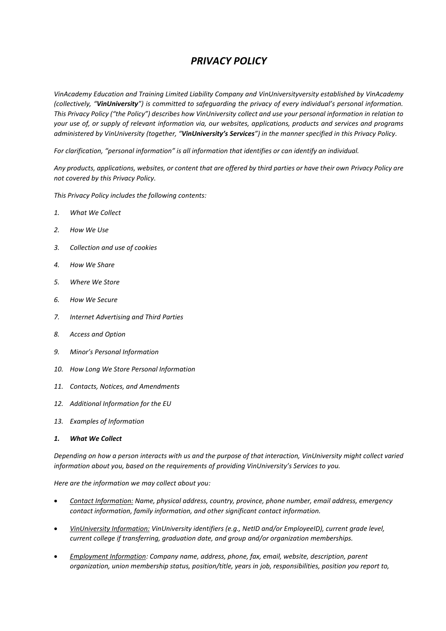# *PRIVACY POLICY*

*VinAcademy Education and Training Limited Liability Company and VinUniversityversity established by VinAcademy (collectively, "VinUniversity") is committed to safeguarding the privacy of every individual's personal information. This Privacy Policy ("the Policy") describes how VinUniversity collect and use your personal information in relation to your use of, or supply of relevant information via, our websites, applications, products and services and programs administered by VinUniversity (together, "VinUniversity's Services") in the manner specified in this Privacy Policy.*

*For clarification, "personal information" is all information that identifies or can identify an individual.*

*Any products, applications, websites, or content that are offered by third parties or have their own Privacy Policy are not covered by this Privacy Policy.*

*This Privacy Policy includes the following contents:*

- *1. What We Collect*
- *2. How We Use*
- *3. Collection and use of cookies*
- *4. How We Share*
- *5. Where We Store*
- *6. How We Secure*
- *7. Internet Advertising and Third Parties*
- *8. Access and Option*
- *9. Minor's Personal Information*
- *10. How Long We Store Personal Information*
- *11. Contacts, Notices, and Amendments*
- *12. Additional Information for the EU*
- *13. Examples of Information*
- *1. What We Collect*

*Depending on how a person interacts with us and the purpose of that interaction, VinUniversity might collect varied information about you, based on the requirements of providing VinUniversity's Services to you.*

*Here are the information we may collect about you:*

- *Contact Information: Name, physical address, country, province, phone number, email address, emergency contact information, family information, and other significant contact information.*
- *VinUniversity Information: VinUniversity identifiers (e.g., NetID and/or EmployeeID), current grade level, current college if transferring, graduation date, and group and/or organization memberships.*
- *Employment Information: Company name, address, phone, fax, email, website, description, parent organization, union membership status, position/title, years in job, responsibilities, position you report to,*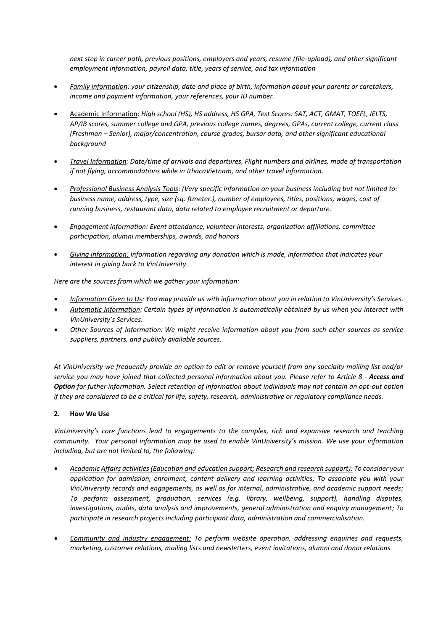*next step in career path, previous positions, employers and years, resume (file-upload), and other significant employment information, payroll data, title, years of service, and tax information*

- *Family information: your citizenship, date and place of birth, information about your parents or caretakers, income and payment information, your references, your ID number.*
- Academic Information: *High school (HS), HS address, HS GPA, Test Scores: SAT, ACT, GMAT, TOEFL, IELTS, AP/IB scores, summer college and GPA, previous college names, degrees, GPAs, current college, current class (Freshman – Senior), major/concentration, course grades, bursar data, and other significant educational background*
- *Travel Information: Date/time of arrivals and departures, Flight numbers and airlines, mode of transportation if not flying, accommodations while in IthacaVietnam, and other travel information.*
- *Professional Business Analysis Tools: (Very specific information on your business including but not limited to: business name, address, type, size (sq. ftmeter.), number of employees, titles, positions, wages, cost of running business, restaurant data, data related to employee recruitment or departure.*
- *Engagement information: Event attendance, volunteer interests, organization affiliations, committee participation, alumni memberships, awards, and honors*
- *Giving information: Information regarding any donation which is made, information that indicates your interest in giving back to VinUniversity*

*Here are the sources from which we gather your information:*

- *Information Given to Us: You may provide us with information about you in relation to VinUniversity's Services.*
- *Automatic Information: Certain types of information is automatically obtained by us when you interact with VinUniversity's Services.*
- *Other Sources of Information: We might receive information about you from such other sources as service suppliers, partners, and publicly available sources.*

*At VinUniversity we frequently provide an option to edit or remove yourself from any specialty mailing list and/or service you may have joined that collected personal information about you. Please refer to Article 8 - Access and Option for futher information. Select retention of information about individuals may not contain an opt-out option if they are considered to be a critical for life, safety, research, administrative or regulatory compliance needs.*

# **2. How We Use**

*VinUniversity's core functions lead to engagements to the complex, rich and expansive research and teaching community. Your personal information may be used to enable VinUniversity's mission. We use your information including, but are not limited to, the following:*

- *Academic Affairs activities (Education and education support; Research and research support): To consider your application for admission, enrolment, content delivery and learning activities; To associate you with your VinUniversity records and engagements, as well as for internal, administrative, and academic support needs; To perform assessment, graduation, services (e.g. library, wellbeing, support), handling disputes, investigations, audits, data analysis and improvements, general administration and enquiry management; To participate in research projects including participant data, administration and commercialisation.*
- *Community and industry engagement: To perform website operation, addressing enquiries and requests, marketing, customer relations, mailing lists and newsletters, event invitations, alumni and donor relations.*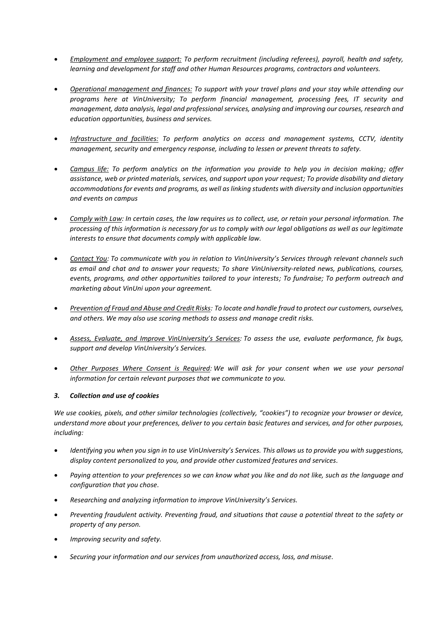- *Employment and employee support: To perform recruitment (including referees), payroll, health and safety, learning and development for staff and other Human Resources programs, contractors and volunteers.*
- *Operational management and finances: To support with your travel plans and your stay while attending our programs here at VinUniversity; To perform financial management, processing fees, IT security and management, data analysis, legal and professional services, analysing and improving our courses, research and education opportunities, business and services.*
- *Infrastructure and facilities: To perform analytics on access and management systems, CCTV, identity management, security and emergency response, including to lessen or prevent threats to safety.*
- *Campus life: To perform analytics on the information you provide to help you in decision making; offer assistance, web or printed materials, services, and support upon your request; To provide disability and dietary accommodations for events and programs, as well as linking students with diversity and inclusion opportunities and events on campus*
- *Comply with Law: In certain cases, the law requires us to collect, use, or retain your personal information. The processing of this information is necessary for us to comply with our legal obligations as well as our legitimate interests to ensure that documents comply with applicable law.*
- *Contact You: To communicate with you in relation to VinUniversity's Services through relevant channels such as email and chat and to answer your requests; To share VinUniversity-related news, publications, courses, events, programs, and other opportunities tailored to your interests; To fundraise; To perform outreach and marketing about VinUni upon your agreement.*
- *Prevention of Fraud and Abuse and Credit Risks: To locate and handle fraud to protect our customers, ourselves, and others. We may also use scoring methods to assess and manage credit risks.*
- *Assess, Evaluate, and Improve VinUniversity's Services: To assess the use, evaluate performance, fix bugs, support and develop VinUniversity's Services.*
- *Other Purposes Where Consent is Required: We will ask for your consent when we use your personal information for certain relevant purposes that we communicate to you.*

# *3. Collection and use of cookies*

*We use cookies, pixels, and other similar technologies (collectively, "cookies") to recognize your browser or device, understand more about your preferences, deliver to you certain basic features and services, and for other purposes, including:*

- *Identifying you when you sign in to use VinUniversity's Services. This allows us to provide you with suggestions, display content personalized to you, and provide other customized features and services.*
- *Paying attention to your preferences so we can know what you like and do not like, such as the language and configuration that you chose.*
- *Researching and analyzing information to improve VinUniversity's Services.*
- *Preventing fraudulent activity. Preventing fraud, and situations that cause a potential threat to the safety or property of any person.*
- *Improving security and safety.*
- *Securing your information and our services from unauthorized access, loss, and misuse.*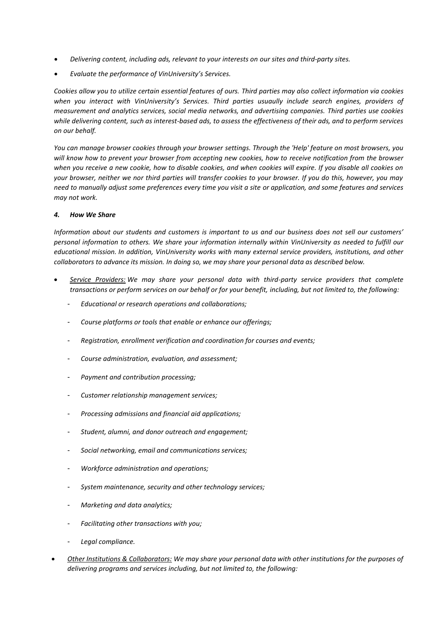- *Delivering content, including ads, relevant to your interests on our sites and third-party sites.*
- *Evaluate the performance of VinUniversity's Services.*

*Cookies allow you to utilize certain essential features of ours. Third parties may also collect information via cookies when you interact with VinUniversity's Services. Third parties usuaully include search engines, providers of measurement and analytics services, social media networks, and advertising companies. Third parties use cookies while delivering content, such as interest-based ads, to assess the effectiveness of their ads, and to perform services on our behalf.*

*You can manage browser cookies through your browser settings. Through the 'Help' feature on most browsers, you will know how to prevent your browser from accepting new cookies, how to receive notification from the browser when you receive a new cookie, how to disable cookies, and when cookies will expire. If you disable all cookies on your browser, neither we nor third parties will transfer cookies to your browser. If you do this, however, you may need to manually adjust some preferences every time you visit a site or application, and some features and services may not work.*

## *4. How We Share*

*Information about our students and customers is important to us and our business does not sell our customers' personal information to others. We share your information internally within VinUniversity as needed to fulfill our educational mission. In addition, VinUniversity works with many external service providers, institutions, and other collaborators to advance its mission. In doing so, we may share your personal data as described below.*

- *Service Providers: We may share your personal data with third-party service providers that complete transactions or perform services on our behalf or for your benefit, including, but not limited to, the following:*
	- *Educational or research operations and collaborations;*
	- *Course platforms or tools that enable or enhance our offerings;*
	- *Registration, enrollment verification and coordination for courses and events;*
	- *Course administration, evaluation, and assessment;*
	- *Payment and contribution processing;*
	- *Customer relationship management services;*
	- *Processing admissions and financial aid applications;*
	- *Student, alumni, and donor outreach and engagement;*
	- *Social networking, email and communications services;*
	- *Workforce administration and operations;*
	- *System maintenance, security and other technology services;*
	- *Marketing and data analytics;*
	- *Facilitating other transactions with you;*
	- *Legal compliance.*
- *Other Institutions & Collaborators: We may share your personal data with other institutions for the purposes of delivering programs and services including, but not limited to, the following:*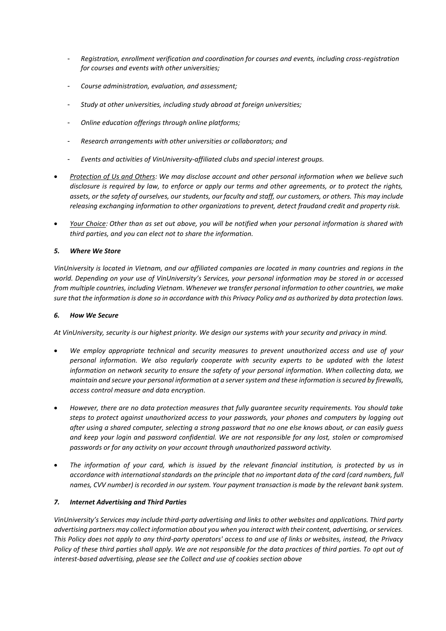- *Registration, enrollment verification and coordination for courses and events, including cross-registration for courses and events with other universities;*
- *Course administration, evaluation, and assessment;*
- *Study at other universities, including study abroad at foreign universities;*
- *Online education offerings through online platforms;*
- *Research arrangements with other universities or collaborators; and*
- *Events and activities of VinUniversity-affiliated clubs and special interest groups.*
- *Protection of Us and Others: We may disclose account and other personal information when we believe such disclosure is required by law, to enforce or apply our terms and other agreements, or to protect the rights, assets, or the safety of ourselves, our students, our faculty and staff, our customers, or others. This may include releasing exchanging information to other organizations to prevent, detect fraudand credit and property risk.*
- *Your Choice: Other than as set out above, you will be notified when your personal information is shared with third parties, and you can elect not to share the information.*

## *5. Where We Store*

*VinUniversity is located in Vietnam, and our affiliated companies are located in many countries and regions in the world. Depending on your use of VinUniversity's Services, your personal information may be stored in or accessed from multiple countries, including Vietnam. Whenever we transfer personal information to other countries, we make sure that the information is done so in accordance with this Privacy Policy and as authorized by data protection laws.*

## *6. How We Secure*

*At VinUniversity, security is our highest priority. We design our systems with your security and privacy in mind.*

- *We employ appropriate technical and security measures to prevent unauthorized access and use of your personal information. We also regularly cooperate with security experts to be updated with the latest information on network security to ensure the safety of your personal information. When collecting data, we maintain and secure your personal information at a server system and these information issecured by firewalls, access control measure and data encryption.*
- *However, there are no data protection measures that fully guarantee security requirements. You should take steps to protect against unauthorized access to your passwords, your phones and computers by logging out after using a shared computer, selecting a strong password that no one else knows about, or can easily guess and keep your login and password confidential. We are not responsible for any lost, stolen or compromised passwords or for any activity on your account through unauthorized password activity.*
- *The information of your card, which is issued by the relevant financial institution, is protected by us in accordance with international standards on the principle that no important data of the card (card numbers, full names, CVV number) is recorded in our system. Your payment transaction is made by the relevant bank system.*

## *7. Internet Advertising and Third Parties*

*VinUniversity's Services may include third-party advertising and links to other websites and applications. Third party advertising partners may collect information about you when you interact with their content, advertising, or services. This Policy does not apply to any third-party operators' access to and use of links or websites, instead, the Privacy Policy of these third parties shall apply. We are not responsible for the data practices of third parties. To opt out of interest-based advertising, please see the Collect and use of cookies section above*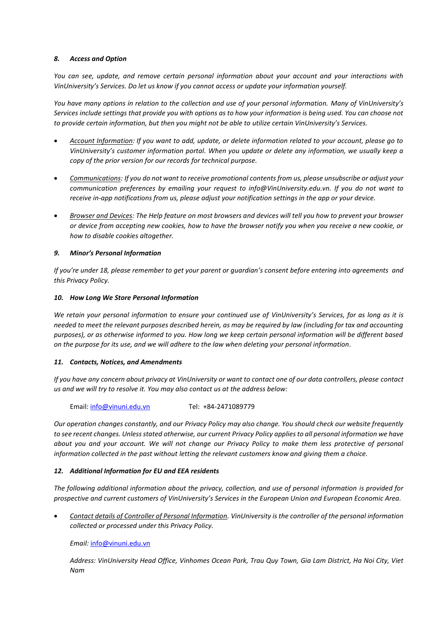## *8. Access and Option*

*You can see, update, and remove certain personal information about your account and your interactions with VinUniversity's Services. Do let us know if you cannot access or update your information yourself.*

*You have many options in relation to the collection and use of your personal information. Many of VinUniversity's Services include settings that provide you with options as to how your information is being used. You can choose not to provide certain information, but then you might not be able to utilize certain VinUniversity's Services.*

- *Account Information: If you want to add, update, or delete information related to your account, please go to VinUniversity's customer information portal. When you update or delete any information, we usually keep a copy of the prior version for our records for technical purpose.*
- *Communications: If you do not want to receive promotional contents from us, please unsubscribe or adjust your communication preferences by emailing your request to info@VinUniversity.edu.vn. If you do not want to receive in-app notifications from us, please adjust your notification settings in the app or your device.*
- *Browser and Devices: The Help feature on most browsers and devices will tell you how to prevent your browser or device from accepting new cookies, how to have the browser notify you when you receive a new cookie, or how to disable cookies altogether.*

## *9. Minor's Personal Information*

*If you're under 18, please remember to get your parent or guardian's consent before entering into agreements and this Privacy Policy.*

## *10. How Long We Store Personal Information*

*We retain your personal information to ensure your continued use of VinUniversity's Services, for as long as it is needed to meet the relevant purposes described herein, as may be required by law (including for tax and accounting purposes), or as otherwise informed to you. How long we keep certain personal information will be different based on the purpose for its use, and we will adhere to the law when deleting your personal information.*

# *11. Contacts, Notices, and Amendments*

*If you have any concern about privacy at VinUniversity or want to contact one of our data controllers, please [contact](https://console.aws.amazon.com/support/home)  [us](https://console.aws.amazon.com/support/home) and we will try to resolve it. You may also contact us at the address below:*

Email[: info@vinuni.edu.vn](mailto:info@vinuni.edu.vn) Tel: +84-2471089779

*Our operation changes constantly, and our Privacy Policy may also change. You should check our website frequently to see recent changes. Unless stated otherwise, our current Privacy Policy applies to all personal information we have about you and your account. We will not change our Privacy Policy to make them less protective of personal information collected in the past without letting the relevant customers know and giving them a choice.*

# *12. Additional Information for EU and EEA residents*

*The following additional information about the privacy, collection, and use of personal information is provided for prospective and current customers of VinUniversity's Services in the European Union and European Economic Area.*

 *Contact details of Controller of Personal Information. VinUniversity is the controller of the personal information collected or processed under this Privacy Policy.*

*Email:* [info@vinuni.edu.vn](mailto:info@vinuni.edu.vn)

*Address: VinUniversity Head Office, Vinhomes Ocean Park, Trau Quy Town, Gia Lam District, Ha Noi City, Viet Nam*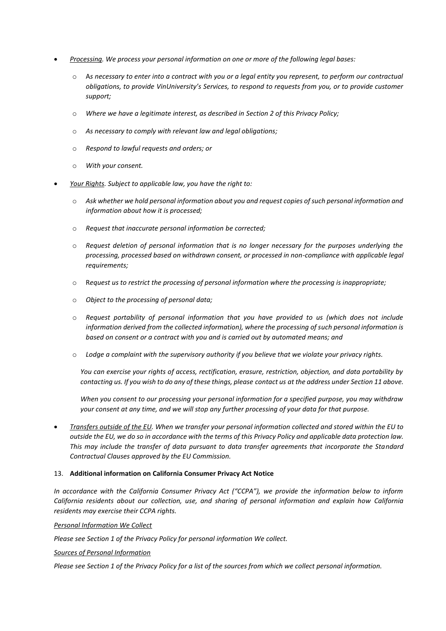- *Processing. We process your personal information on one or more of the following legal bases:*
	- o A*s necessary to enter into a contract with you or a legal entity you represent, to perform our contractual obligations, to provide VinUniversity's Services, to respond to requests from you, or to provide customer support;*
	- o *Where we have a legitimate interest, as described in Section 2 of this Privacy Policy;*
	- o *As necessary to comply with relevant law and legal obligations;*
	- o *Respond to lawful requests and orders; or*
	- o *With your consent.*
- *Your Rights. Subject to applicable law, you have the right to:*
	- o *Ask whether we hold personal information about you and request copies of such personal information and information about how it is processed;*
	- o *Request that inaccurate personal information be corrected;*
	- o *Request deletion of personal information that is no longer necessary for the purposes underlying the processing, processed based on withdrawn consent, or processed in non-compliance with applicable legal requirements;*
	- o R*equest us to restrict the processing of personal information where the processing is inappropriate;*
	- o *Object to the processing of personal data;*
	- o *Request portability of personal information that you have provided to us (which does not include information derived from the collected information), where the processing of such personal information is based on consent or a contract with you and is carried out by automated means; and*
	- o *Lodge a complaint with the supervisory authority if you believe that we violate your privacy rights.*

*You can exercise your rights of access, rectification, erasure, restriction, objection, and data portability by contacting us. If you wish to do any of these things, please [contact us](https://console.aws.amazon.com/support/home) at the address under Section 11 above.*

*When you consent to our processing your personal information for a specified purpose, you may withdraw your consent at any time, and we will stop any further processing of your data for that purpose.*

 *Transfers outside of the EU. When we transfer your personal information collected and stored within the EU to outside the EU, we do so in accordance with the terms of this Privacy Policy and applicable data protection law. This may include the transfer of data pursuant to data transfer agreements that incorporate the Standard Contractual Clauses approved by the EU Commission.*

## 13. **Additional information on California Consumer Privacy Act Notice**

*In accordance with the California Consumer Privacy Act ("CCPA"), we provide the information below to inform California residents about our collection, use, and sharing of personal information and explain how California residents may exercise their CCPA rights.*

*Personal Information We Collect*

*Please see Section 1 of the Privacy Policy for personal information We collect.*

*Sources of Personal Information*

*Please see Section 1 of the Privacy Policy for a list of the sources from which we collect personal information.*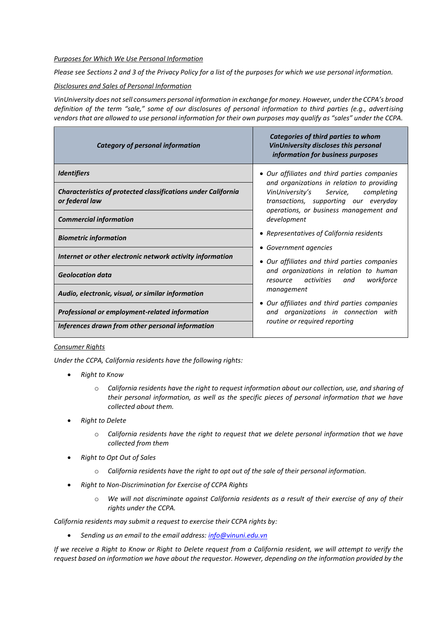#### *Purposes for Which We Use Personal Information*

*Please see Sections 2 and 3 of the Privacy Policy for a list of the purposes for which we use personal information.*

#### *Disclosures and Sales of Personal Information*

*VinUniversity does not sell consumers personal information in exchange for money. However, under the CCPA's broad definition of the term "sale," some of our disclosures of personal information to third parties (e.g., advertising vendors that are allowed to use personal information for their own purposes may qualify as "sales" under the CCPA.* 

| <b>Category of personal information</b>                                                | Categories of third parties to whom<br><b>VinUniversity discloses this personal</b><br>information for business purposes                                                                                                                                                                                                                                     |
|----------------------------------------------------------------------------------------|--------------------------------------------------------------------------------------------------------------------------------------------------------------------------------------------------------------------------------------------------------------------------------------------------------------------------------------------------------------|
| <b>Identifiers</b>                                                                     | • Our affiliates and third parties companies<br>and organizations in relation to providing<br>VinUniversity's Service,<br>completing<br>transactions, supporting our everyday<br>operations, or business management and<br>development<br>• Representatives of California residents<br>• Government agencies<br>• Our affiliates and third parties companies |
| <b>Characteristics of protected classifications under California</b><br>or federal law |                                                                                                                                                                                                                                                                                                                                                              |
| <b>Commercial information</b>                                                          |                                                                                                                                                                                                                                                                                                                                                              |
| <b>Biometric information</b>                                                           |                                                                                                                                                                                                                                                                                                                                                              |
| Internet or other electronic network activity information                              |                                                                                                                                                                                                                                                                                                                                                              |
| <b>Geolocation data</b>                                                                | and organizations in relation to human<br>resource activities<br>workforce<br>and                                                                                                                                                                                                                                                                            |
| Audio, electronic, visual, or similar information                                      | management                                                                                                                                                                                                                                                                                                                                                   |
| Professional or employment-related information                                         | • Our affiliates and third parties companies<br>and organizations in connection with                                                                                                                                                                                                                                                                         |
| Inferences drawn from other personal information                                       | routine or required reporting                                                                                                                                                                                                                                                                                                                                |

## *Consumer Rights*

*Under the CCPA, California residents have the following rights:*

- *Right to Know*
	- o *California residents have the right to request information about our collection, use, and sharing of their personal information, as well as the specific pieces of personal information that we have collected about them.*
- *Right to Delete*
	- o *California residents have the right to request that we delete personal information that we have collected from them*
- *Right to Opt Out of Sales*
	- o *California residents have the right to opt out of the sale of their personal information.*
- *Right to Non-Discrimination for Exercise of CCPA Rights*
	- o *We will not discriminate against California residents as a result of their exercise of any of their rights under the CCPA.*

*California residents may submit a request to exercise their CCPA rights by:*

*Sending us an email to the email address: [info@vinuni.edu.vn](mailto:info@vinuni.edu.vn)*

*If we receive a Right to Know or Right to Delete request from a California resident, we will attempt to verify the request based on information we have about the requestor. However, depending on the information provided by the*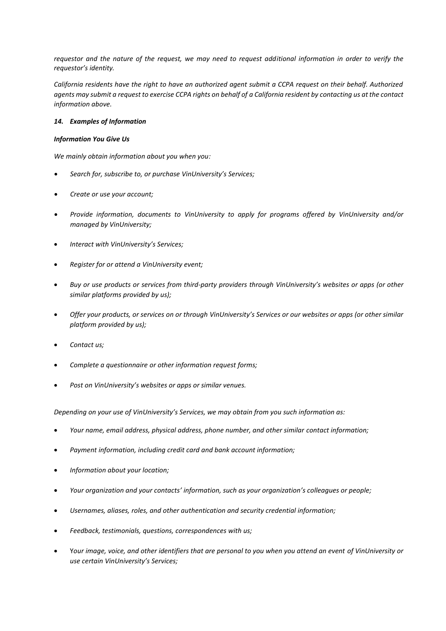*requestor and the nature of the request, we may need to request additional information in order to verify the requestor's identity.* 

*California residents have the right to have an authorized agent submit a CCPA request on their behalf. Authorized agents may submit a request to exercise CCPA rights on behalf of a California resident by contacting us at the contact information above.*

## *14. Examples of Information*

## *Information You Give Us*

*We mainly obtain information about you when you:*

- *Search for, subscribe to, or purchase VinUniversity's Services;*
- *Create or use your account;*
- *Provide information, documents to VinUniversity to apply for programs offered by VinUniversity and/or managed by VinUniversity;*
- *Interact with VinUniversity's Services;*
- *Register for or attend a VinUniversity event;*
- *Buy or use products or services from third-party providers through VinUniversity's websites or apps (or other similar platforms provided by us);*
- *Offer your products, or services on or through VinUniversity's Services or our websites or apps (or other similar platform provided by us);*
- *Contact us;*
- *Complete a questionnaire or other information request forms;*
- *Post on VinUniversity's websites or apps or similar venues.*

*Depending on your use of VinUniversity's Services, we may obtain from you such information as:*

- *Your name, email address, physical address, phone number, and other similar contact information;*
- *Payment information, including credit card and bank account information;*
- *Information about your location;*
- *Your organization and your contacts' information, such as your organization's colleagues or people;*
- *Usernames, aliases, roles, and other authentication and security credential information;*
- *Feedback, testimonials, questions, correspondences with us;*
- Y*our image, voice, and other identifiers that are personal to you when you attend an event of VinUniversity or use certain VinUniversity's Services;*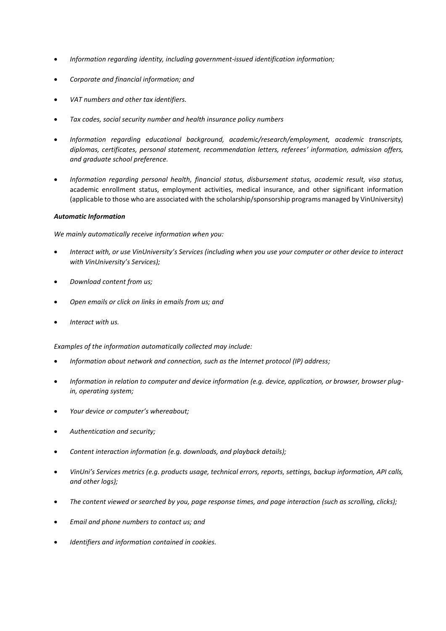- *Information regarding identity, including government-issued identification information;*
- *Corporate and financial information; and*
- *VAT numbers and other tax identifiers.*
- *Tax codes, social security number and health insurance policy numbers*
- *Information regarding educational background, academic/research/employment, academic transcripts, diplomas, certificates, personal statement, recommendation letters, referees' information, admission offers, and graduate school preference.*
- *Information regarding personal health, financial status, disbursement status, academic result, visa status,* academic enrollment status, employment activities, medical insurance, and other significant information (applicable to those who are associated with the scholarship/sponsorship programs managed by VinUniversity)

## *Automatic Information*

*We mainly automatically receive information when you:*

- *Interact with, or use VinUniversity's Services (including when you use your computer or other device to interact with VinUniversity's Services);*
- *Download content from us;*
- *Open emails or click on links in emails from us; and*
- *Interact with us.*

*Examples of the information automatically collected may include:*

- *Information about network and connection, such as the Internet protocol (IP) address;*
- *Information in relation to computer and device information (e.g. device, application, or browser, browser plugin, operating system;*
- *Your device or computer's whereabout;*
- *Authentication and security;*
- *Content interaction information (e.g. downloads, and playback details);*
- *VinUni's Services metrics (e.g. products usage, technical errors, reports, settings, backup information, API calls, and other logs);*
- *The content viewed or searched by you, page response times, and page interaction (such as scrolling, clicks);*
- *Email and phone numbers to contact us; and*
- *Identifiers and information contained in cookies.*